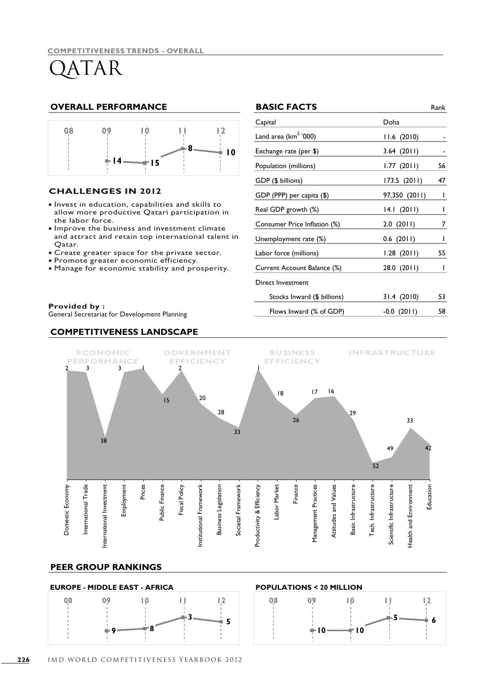### **OVERALL PERFORMANCE**



#### **CHALLENGES IN 2012**

- · Invest in education, capabilities and skills to allow more productive Qatari participation in the labor force.
- . Improve the business and investment climate and attract and retain top international talent in Qatar.
- Create greater space for the private sector.
- Promote greater economic efficiency. •
- Manage for economic stability and prosperity. •

#### **Provided by :**

General Secretariat for Development Planning

#### **COMPETITIVENESS LANDSCAPE**

|      | <b>BASIC FACTS</b>               |               | Rank         |
|------|----------------------------------|---------------|--------------|
|      | Capital                          | Doha          |              |
|      | Land area (km <sup>2</sup> '000) | 11.6 (2010)   |              |
| 0    | Exchange rate (per \$)           | 3.64(2011)    |              |
|      | Population (millions)            | 1.77(2011)    | 56           |
|      | GDP (\$ billions)                | 173.5 (2011)  | 47           |
|      | GDP (PPP) per capita (\$)        | 97,350 (2011) | $\mathsf{I}$ |
|      | Real GDP growth (%)              | 14.1 (2011)   | $\mathsf{I}$ |
|      | Consumer Price Inflation (%)     | 2.0(2011)     | 7            |
| : in | Unemployment rate (%)            | $0.6$ (2011)  | I            |
|      | Labor force (millions)           | 1.28(2011)    | 55           |
|      | Current Account Balance (%)      | 28.0 (2011)   | I            |
|      | Direct Investment                |               |              |
|      | Stocks Inward (\$ billions)      | 31.4(2010)    | 53           |
|      | Flows Inward (% of GDP)          | $-0.0$ (2011) | 58           |



#### **PEER GROUP RANKINGS**

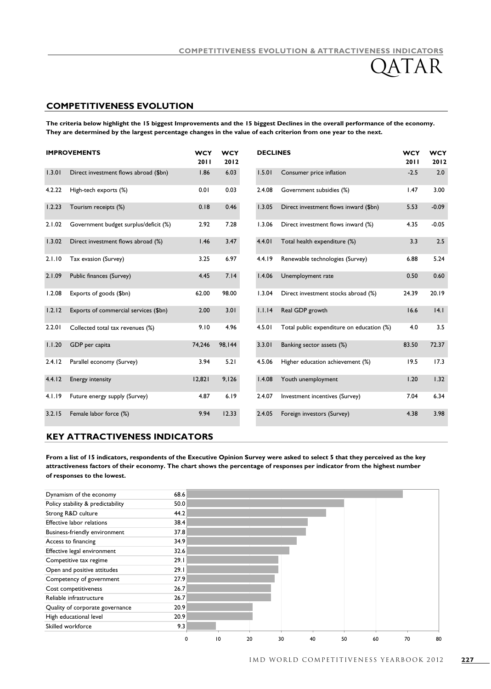#### **COMPETITIVENESS EVOLUTION**

**The criteria below highlight the 15 biggest Improvements and the 15 biggest Declines in the overall performance of the economy. They are determined by the largest percentage changes in the value of each criterion from one year to the next.**

| <b>IMPROVEMENTS</b> |                                       | <b>WCY</b><br>2011 | <b>WCY</b><br>2012 | <b>DECLINES</b> |                                           | <b>WCY</b><br>2011 | <b>WCY</b><br>2012 |
|---------------------|---------------------------------------|--------------------|--------------------|-----------------|-------------------------------------------|--------------------|--------------------|
| 1.3.01              | Direct investment flows abroad (\$bn) | 1.86               | 6.03               | 1.5.01          | Consumer price inflation                  | $-2.5$             | 2.0                |
| 4.2.22              | High-tech exports (%)                 | 0.01               | 0.03               | 2.4.08          | Government subsidies (%)                  | 1.47               | 3.00               |
| 1.2.23              | Tourism receipts (%)                  | 0.18               | 0.46               | 1.3.05          | Direct investment flows inward (\$bn)     | 5.53               | $-0.09$            |
| 2.1.02              | Government budget surplus/deficit (%) | 2.92               | 7.28               | 1.3.06          | Direct investment flows inward (%)        | 4.35               | $-0.05$            |
| 1.3.02              | Direct investment flows abroad (%)    | 1.46               | 3.47               | 4.4.01          | Total health expenditure (%)              | 3.3                | 2.5                |
| 2.1.10              | Tax evasion (Survey)                  | 3.25               | 6.97               | 4.4.19          | Renewable technologies (Survey)           | 6.88               | 5.24               |
| 2.1.09              | Public finances (Survey)              | 4.45               | 7.14               | 1.4.06          | Unemployment rate                         | 0.50               | 0.60               |
| 1.2.08              | Exports of goods (\$bn)               | 62.00              | 98.00              | 1.3.04          | Direct investment stocks abroad (%)       | 24.39              | 20.19              |
| 1.2.12              | Exports of commercial services (\$bn) | 2.00               | 3.01               | 1.1.14          | Real GDP growth                           | 16.6               | 4.1                |
| 2.2.01              | Collected total tax revenues (%)      | 9.10               | 4.96               | 4.5.01          | Total public expenditure on education (%) | 4.0                | 3.5                |
| 1.1.20              | GDP per capita                        | 74,246             | 98,144             | 3.3.01          | Banking sector assets (%)                 | 83.50              | 72.37              |
| 2.4.12              | Parallel economy (Survey)             | 3.94               | 5.21               | 4.5.06          | Higher education achievement (%)          | 19.5               | 17.3               |
| 4.4.12              | Energy intensity                      | 12,821             | 9,126              | 1.4.08          | Youth unemployment                        | 1.20               | 1.32               |
| 4.1.19              | Future energy supply (Survey)         | 4.87               | 6.19               | 2.4.07          | Investment incentives (Survey)            | 7.04               | 6.34               |
| 3.2.15              | Female labor force (%)                | 9.94               | 12.33              | 2.4.05          | Foreign investors (Survey)                | 4.38               | 3.98               |

#### **KEY ATTRACTIVENESS INDICATORS**

**From a list of 15 indicators, respondents of the Executive Opinion Survey were asked to select 5 that they perceived as the key attractiveness factors of their economy. The chart shows the percentage of responses per indicator from the highest number of responses to the lowest.**

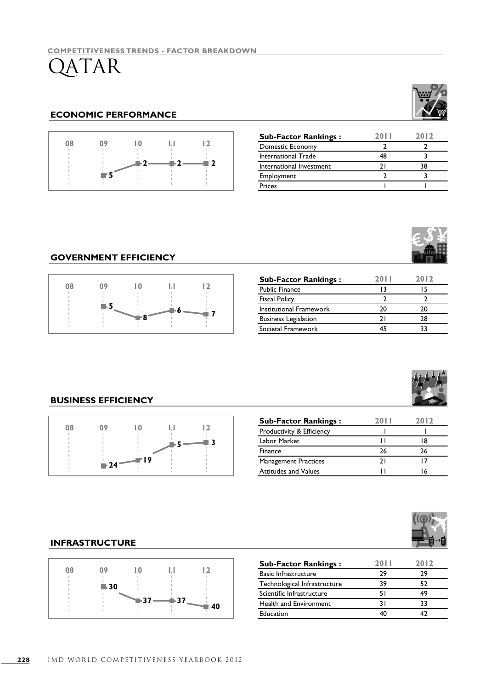### **ECONOMIC PERFORMANCE**



| <b>Sub-Factor Rankings:</b> | 20 L L | 2012 |
|-----------------------------|--------|------|
| Domestic Economy            |        |      |
| International Trade         | 48     |      |
| International Investment    | 7 I    | 38   |
| Employment                  |        |      |
| Prices                      |        |      |

### **GOVERNMENT EFFICIENCY**



| <b>Sub-Factor Rankings:</b> | 20 | 2012 |
|-----------------------------|----|------|
| <b>Public Finance</b>       | 13 | 15   |
| <b>Fiscal Policy</b>        |    |      |
| Institutional Framework     | 20 | 20   |
| <b>Business Legislation</b> | 21 | 28   |
| Societal Framework          |    |      |



### **BUSINESS EFFICIENCY**



| <b>Sub-Factor Rankings:</b> | 20 L L | 2012 |
|-----------------------------|--------|------|
| Productivity & Efficiency   |        |      |
| Labor Market                |        | 18   |
| Finance                     | 26     | 26   |
| <b>Management Practices</b> | າ ເ    |      |
| <b>Attitudes and Values</b> |        |      |

### **INFRASTRUCTURE**



| <b>Sub-Factor Rankings:</b>   | 20 L L | 2012 |
|-------------------------------|--------|------|
| <b>Basic Infrastructure</b>   | 29     | 29   |
| Technological Infrastructure  | 39     | 52   |
| Scientific Infrastructure     | 51     |      |
| <b>Health and Environment</b> | 31     | 33   |
| Education                     |        |      |